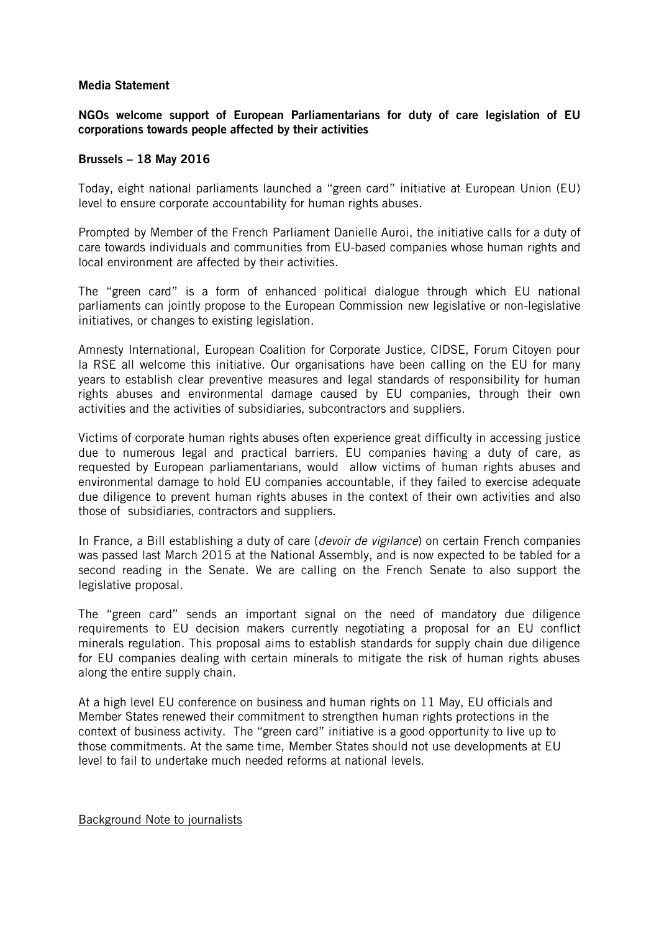## **Media Statement**

# **NGOs welcome support of European Parliamentarians for duty of care legislation of EU corporations towards people affected by their activities**

## **Brussels – 18 May 2016**

Today, eight national parliaments launched a "green card" initiative at European Union (EU) level to ensure corporate accountability for human rights abuses.

Prompted by Member of the French Parliament Danielle Auroi, the initiative calls for a duty of care towards individuals and communities from EU-based companies whose human rights and local environment are affected by their activities.

The "green card" is a form of enhanced political dialogue through which EU national parliaments can jointly propose to the European Commission new legislative or non-legislative initiatives, or changes to existing legislation.

Amnesty International, European Coalition for Corporate Justice, CIDSE, Forum Citoyen pour la RSE all welcome this initiative. Our organisations have been calling on the EU for many years to establish clear preventive measures and legal standards of responsibility for human rights abuses and environmental damage caused by EU companies, through their own activities and the activities of subsidiaries, subcontractors and suppliers.

Victims of corporate human rights abuses often experience great difficulty in accessing justice due to numerous legal and practical barriers. EU companies having a duty of care, as requested by European parliamentarians, would allow victims of human rights abuses and environmental damage to hold EU companies accountable, if they failed to exercise adequate due diligence to prevent human rights abuses in the context of their own activities and also those of subsidiaries, contractors and suppliers.

In France, a Bill establishing a duty of care (*devoir de vigilance*) on certain French companies was passed last March 2015 at the National Assembly, and is now expected to be tabled for a second reading in the Senate. We are calling on the French Senate to also support the legislative proposal.

The "green card" sends an important signal on the need of mandatory due diligence requirements to EU decision makers currently negotiating a proposal for an EU conflict minerals regulation. This proposal aims to establish standards for supply chain due diligence for EU companies dealing with certain minerals to mitigate the risk of human rights abuses along the entire supply chain.

At a high level EU conference on business and human rights on 11 May, EU officials and Member States renewed their commitment to strengthen human rights protections in the context of business activity. The "green card" initiative is a good opportunity to live up to those commitments. At the same time, Member States should not use developments at EU level to fail to undertake much needed reforms at national levels.

### Background Note to journalists